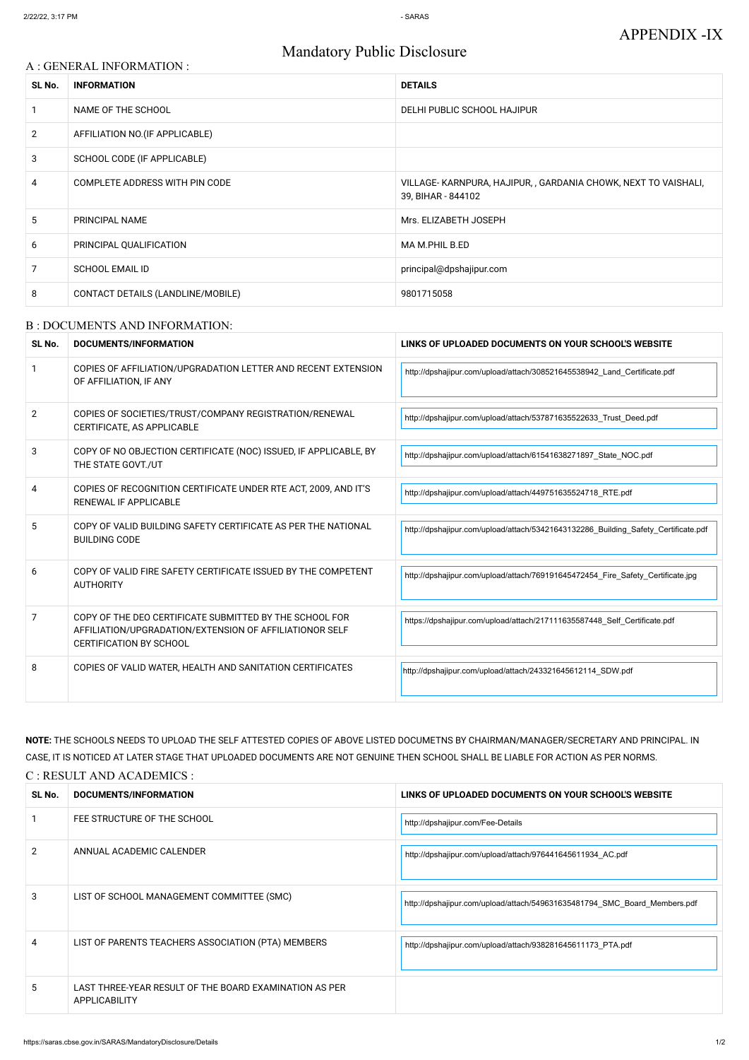# Mandatory Public Disclosure

#### A : GENERAL INFORMATION :

| SL No.         | <b>INFORMATION</b>                | <b>DETAILS</b>                                                                       |
|----------------|-----------------------------------|--------------------------------------------------------------------------------------|
|                | NAME OF THE SCHOOL                | DELHI PUBLIC SCHOOL HAJIPUR                                                          |
| $\overline{2}$ | AFFILIATION NO. (IF APPLICABLE)   |                                                                                      |
| 3              | SCHOOL CODE (IF APPLICABLE)       |                                                                                      |
| 4              | COMPLETE ADDRESS WITH PIN CODE    | VILLAGE-KARNPURA, HAJIPUR, , GARDANIA CHOWK, NEXT TO VAISHALI,<br>39, BIHAR - 844102 |
| 5              | PRINCIPAL NAME                    | Mrs. ELIZABETH JOSEPH                                                                |
| 6              | PRINCIPAL QUALIFICATION           | MA M.PHIL B.ED                                                                       |
| 7              | <b>SCHOOL EMAIL ID</b>            | principal@dpshajipur.com                                                             |
| 8              | CONTACT DETAILS (LANDLINE/MOBILE) | 9801715058                                                                           |

#### B : DOCUMENTS AND INFORMATION:

| SL No. | <b>DOCUMENTS/INFORMATION</b>                                                                                                                         | LINKS OF UPLOADED DOCUMENTS ON YOUR SCHOOL'S WEBSITE                               |  |
|--------|------------------------------------------------------------------------------------------------------------------------------------------------------|------------------------------------------------------------------------------------|--|
|        | COPIES OF AFFILIATION/UPGRADATION LETTER AND RECENT EXTENSION<br>OF AFFILIATION, IF ANY                                                              | http://dpshajipur.com/upload/attach/308521645538942_Land_Certificate.pdf           |  |
| 2      | COPIES OF SOCIETIES/TRUST/COMPANY REGISTRATION/RENEWAL<br>CERTIFICATE, AS APPLICABLE                                                                 | http://dpshajipur.com/upload/attach/537871635522633 Trust Deed.pdf                 |  |
| 3      | COPY OF NO OBJECTION CERTIFICATE (NOC) ISSUED, IF APPLICABLE, BY<br>THE STATE GOVT./UT                                                               | http://dpshajipur.com/upload/attach/61541638271897 State NOC.pdf                   |  |
| 4      | COPIES OF RECOGNITION CERTIFICATE UNDER RTE ACT, 2009, AND IT'S<br>RENEWAL IF APPLICABLE                                                             | http://dpshajipur.com/upload/attach/449751635524718 RTE.pdf                        |  |
| 5      | COPY OF VALID BUILDING SAFETY CERTIFICATE AS PER THE NATIONAL<br><b>BUILDING CODE</b>                                                                | http://dpshajipur.com/upload/attach/53421643132286 Building Safety Certificate.pdf |  |
| 6      | COPY OF VALID FIRE SAFETY CERTIFICATE ISSUED BY THE COMPETENT<br><b>AUTHORITY</b>                                                                    | http://dpshajipur.com/upload/attach/769191645472454 Fire Safety Certificate.jpg    |  |
| 7      | COPY OF THE DEO CERTIFICATE SUBMITTED BY THE SCHOOL FOR<br>AFFILIATION/UPGRADATION/EXTENSION OF AFFILIATIONOR SELF<br><b>CERTIFICATION BY SCHOOL</b> | https://dpshajipur.com/upload/attach/217111635587448_Self_Certificate.pdf          |  |
| 8      | COPIES OF VALID WATER, HEALTH AND SANITATION CERTIFICATES                                                                                            | http://dpshajipur.com/upload/attach/243321645612114 SDW.pdf                        |  |

**NOTE:** THE SCHOOLS NEEDS TO UPLOAD THE SELF ATTESTED COPIES OF ABOVE LISTED DOCUMETNS BY CHAIRMAN/MANAGER/SECRETARY AND PRINCIPAL. IN CASE, IT IS NOTICED AT LATER STAGE THAT UPLOADED DOCUMENTS ARE NOT GENUINE THEN SCHOOL SHALL BE LIABLE FOR ACTION AS PER NORMS.

C : RESULT AND ACADEMICS :

| SL No. | DOCUMENTS/INFORMATION                                                          | LINKS OF UPLOADED DOCUMENTS ON YOUR SCHOOL'S WEBSITE                      |
|--------|--------------------------------------------------------------------------------|---------------------------------------------------------------------------|
|        | FEE STRUCTURE OF THE SCHOOL                                                    | http://dpshajipur.com/Fee-Details                                         |
|        | ANNUAL ACADEMIC CALENDER                                                       | http://dpshajipur.com/upload/attach/976441645611934 AC.pdf                |
| 3      | LIST OF SCHOOL MANAGEMENT COMMITTEE (SMC)                                      | http://dpshajipur.com/upload/attach/549631635481794_SMC_Board_Members.pdf |
| 4      | LIST OF PARENTS TEACHERS ASSOCIATION (PTA) MEMBERS                             | http://dpshajipur.com/upload/attach/938281645611173 PTA.pdf               |
| 5.     | LAST THREE-YEAR RESULT OF THE BOARD EXAMINATION AS PER<br><b>APPLICABILITY</b> |                                                                           |